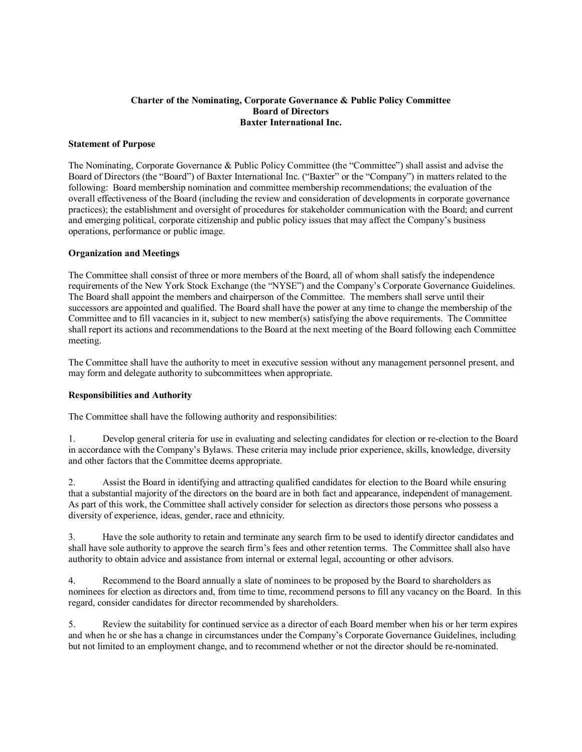## **Charter of the Nominating, Corporate Governance & Public Policy Committee Board of Directors Baxter International Inc.**

## **Statement of Purpose**

The Nominating, Corporate Governance & Public Policy Committee (the "Committee") shall assist and advise the Board of Directors (the "Board") of Baxter International Inc. ("Baxter" or the "Company") in matters related to the following: Board membership nomination and committee membership recommendations; the evaluation of the overall effectiveness of the Board (including the review and consideration of developments in corporate governance practices); the establishment and oversight of procedures for stakeholder communication with the Board; and current and emerging political, corporate citizenship and public policy issues that may affect the Company's business operations, performance or public image.

## **Organization and Meetings**

The Committee shall consist of three or more members of the Board, all of whom shall satisfy the independence requirements of the New York Stock Exchange (the "NYSE") and the Company's Corporate Governance Guidelines. The Board shall appoint the members and chairperson of the Committee. The members shall serve until their successors are appointed and qualified. The Board shall have the power at any time to change the membership of the Committee and to fill vacancies in it, subject to new member(s) satisfying the above requirements. The Committee shall report its actions and recommendations to the Board at the next meeting of the Board following each Committee meeting.

The Committee shall have the authority to meet in executive session without any management personnel present, and may form and delegate authority to subcommittees when appropriate.

## **Responsibilities and Authority**

The Committee shall have the following authority and responsibilities:

1. Develop general criteria for use in evaluating and selecting candidates for election or re-election to the Board in accordance with the Company's Bylaws. These criteria may include prior experience, skills, knowledge, diversity and other factors that the Committee deems appropriate.

2. Assist the Board in identifying and attracting qualified candidates for election to the Board while ensuring that a substantial majority of the directors on the board are in both fact and appearance, independent of management. As part of this work, the Committee shall actively consider for selection as directors those persons who possess a diversity of experience, ideas, gender, race and ethnicity.

3. Have the sole authority to retain and terminate any search firm to be used to identify director candidates and shall have sole authority to approve the search firm's fees and other retention terms. The Committee shall also have authority to obtain advice and assistance from internal or external legal, accounting or other advisors.

4. Recommend to the Board annually a slate of nominees to be proposed by the Board to shareholders as nominees for election as directors and, from time to time, recommend persons to fill any vacancy on the Board. In this regard, consider candidates for director recommended by shareholders.

5. Review the suitability for continued service as a director of each Board member when his or her term expires and when he or she has a change in circumstances under the Company's Corporate Governance Guidelines, including but not limited to an employment change, and to recommend whether or not the director should be re-nominated.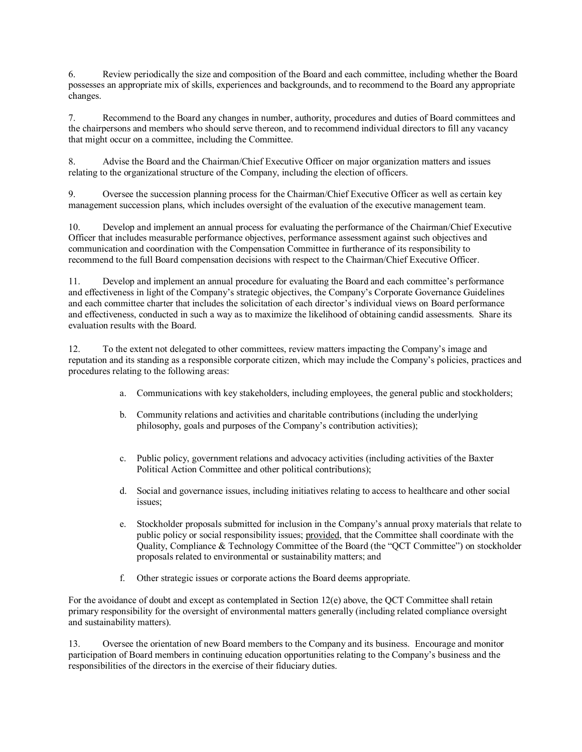6. Review periodically the size and composition of the Board and each committee, including whether the Board possesses an appropriate mix of skills, experiences and backgrounds, and to recommend to the Board any appropriate changes.

7. Recommend to the Board any changes in number, authority, procedures and duties of Board committees and the chairpersons and members who should serve thereon, and to recommend individual directors to fill any vacancy that might occur on a committee, including the Committee.

8. Advise the Board and the Chairman/Chief Executive Officer on major organization matters and issues relating to the organizational structure of the Company, including the election of officers.

9. Oversee the succession planning process for the Chairman/Chief Executive Officer as well as certain key management succession plans, which includes oversight of the evaluation of the executive management team.

10. Develop and implement an annual process for evaluating the performance of the Chairman/Chief Executive Officer that includes measurable performance objectives, performance assessment against such objectives and communication and coordination with the Compensation Committee in furtherance of its responsibility to recommend to the full Board compensation decisions with respect to the Chairman/Chief Executive Officer.

11. Develop and implement an annual procedure for evaluating the Board and each committee's performance and effectiveness in light of the Company's strategic objectives, the Company's Corporate Governance Guidelines and each committee charter that includes the solicitation of each director's individual views on Board performance and effectiveness, conducted in such a way as to maximize the likelihood of obtaining candid assessments. Share its evaluation results with the Board.

12. To the extent not delegated to other committees, review matters impacting the Company's image and reputation and its standing as a responsible corporate citizen, which may include the Company's policies, practices and procedures relating to the following areas:

- a. Communications with key stakeholders, including employees, the general public and stockholders;
- b. Community relations and activities and charitable contributions (including the underlying philosophy, goals and purposes of the Company's contribution activities);
- c. Public policy, government relations and advocacy activities (including activities of the Baxter Political Action Committee and other political contributions);
- d. Social and governance issues, including initiatives relating to access to healthcare and other social issues;
- e. Stockholder proposals submitted for inclusion in the Company's annual proxy materials that relate to public policy or social responsibility issues; provided, that the Committee shall coordinate with the Quality, Compliance & Technology Committee of the Board (the "QCT Committee") on stockholder proposals related to environmental or sustainability matters; and
- f. Other strategic issues or corporate actions the Board deems appropriate.

For the avoidance of doubt and except as contemplated in Section 12(e) above, the QCT Committee shall retain primary responsibility for the oversight of environmental matters generally (including related compliance oversight and sustainability matters).

13. Oversee the orientation of new Board members to the Company and its business. Encourage and monitor participation of Board members in continuing education opportunities relating to the Company's business and the responsibilities of the directors in the exercise of their fiduciary duties.